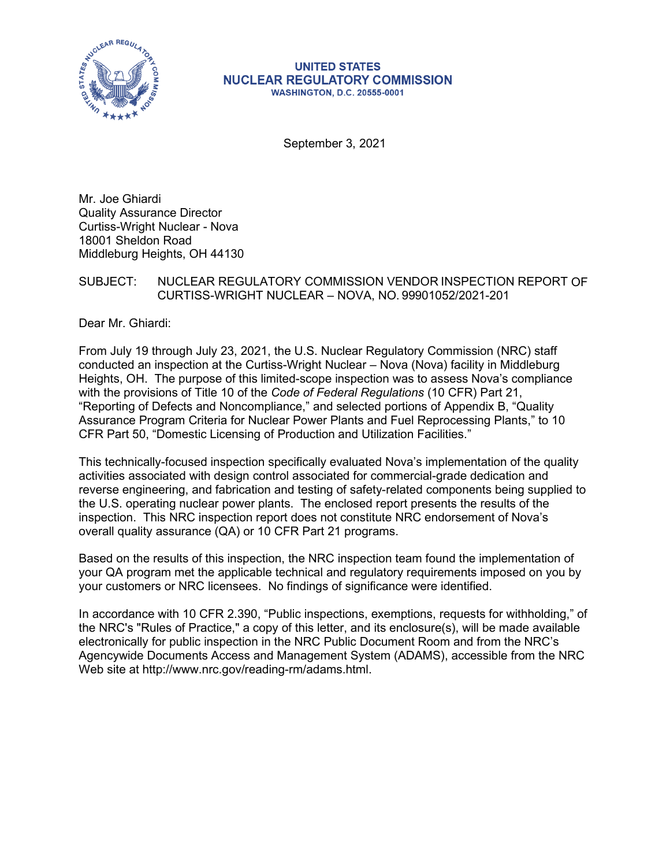

#### **UNITED STATES NUCLEAR REGULATORY COMMISSION WASHINGTON, D.C. 20555-0001**

September 3, 2021

Mr. Joe Ghiardi Quality Assurance Director Curtiss-Wright Nuclear - Nova 18001 Sheldon Road Middleburg Heights, OH 44130

#### SUBJECT: NUCLEAR REGULATORY COMMISSION VENDOR INSPECTION REPORT OF CURTISS-WRIGHT NUCLEAR – NOVA, NO. 99901052/2021-201

Dear Mr. Ghiardi:

From July 19 through July 23, 2021, the U.S. Nuclear Regulatory Commission (NRC) staff conducted an inspection at the Curtiss-Wright Nuclear – Nova (Nova) facility in Middleburg Heights, OH. The purpose of this limited-scope inspection was to assess Nova's compliance with the provisions of Title 10 of the *Code of Federal Regulations* (10 CFR) Part 21, "Reporting of Defects and Noncompliance," and selected portions of Appendix B, "Quality Assurance Program Criteria for Nuclear Power Plants and Fuel Reprocessing Plants," to 10 CFR Part 50, "Domestic Licensing of Production and Utilization Facilities."

This technically-focused inspection specifically evaluated Nova's implementation of the quality activities associated with design control associated for commercial-grade dedication and reverse engineering, and fabrication and testing of safety-related components being supplied to the U.S. operating nuclear power plants. The enclosed report presents the results of the inspection. This NRC inspection report does not constitute NRC endorsement of Nova's overall quality assurance (QA) or 10 CFR Part 21 programs.

Based on the results of this inspection, the NRC inspection team found the implementation of your QA program met the applicable technical and regulatory requirements imposed on you by your customers or NRC licensees. No findings of significance were identified.

In accordance with 10 CFR 2.390, "Public inspections, exemptions, requests for withholding," of the NRC's "Rules of Practice," a copy of this letter, and its enclosure(s), will be made available electronically for public inspection in the NRC Public Document Room and from the NRC's Agencywide Documents Access and Management System (ADAMS), accessible from the NRC Web site at http://www.nrc.gov/reading-rm/adams.html.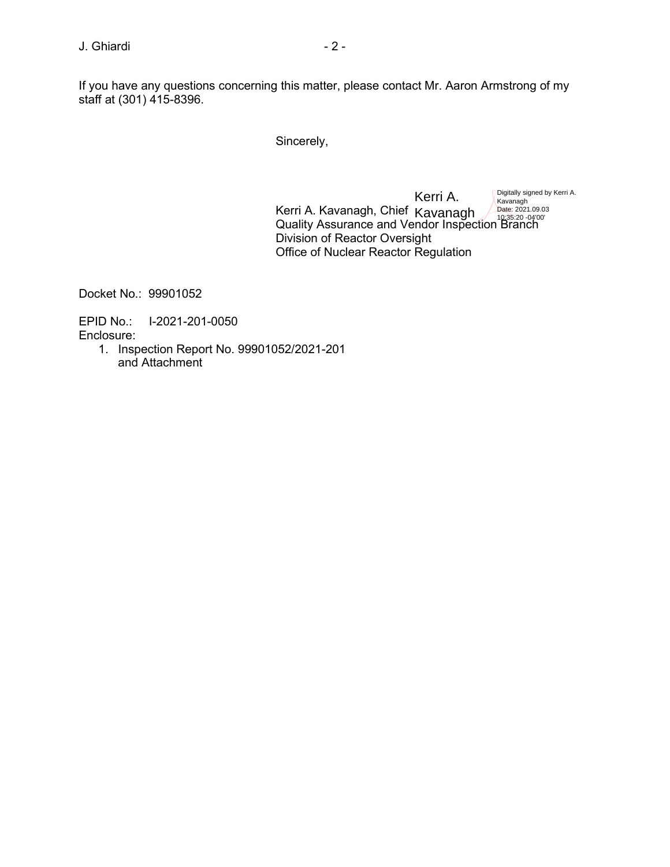If you have any questions concerning this matter, please contact Mr. Aaron Armstrong of my staff at (301) 415-8396.

Sincerely,

Kerri A. Kavanagh, Chief Quality Assurance and Vendor Inspection Branch Division of Reactor Oversight Office of Nuclear Reactor Regulation Kerri A. Kavanagh *Pate: 2021.09.0*<br>10:35:20 -04'00' Digitally signed by Kerri A. Kavanagh Date: 2021.09.03

Docket No.: 99901052

EPID No.: I-2021-201-0050 Enclosure:

> 1. Inspection Report No. 99901052/2021-201 and Attachment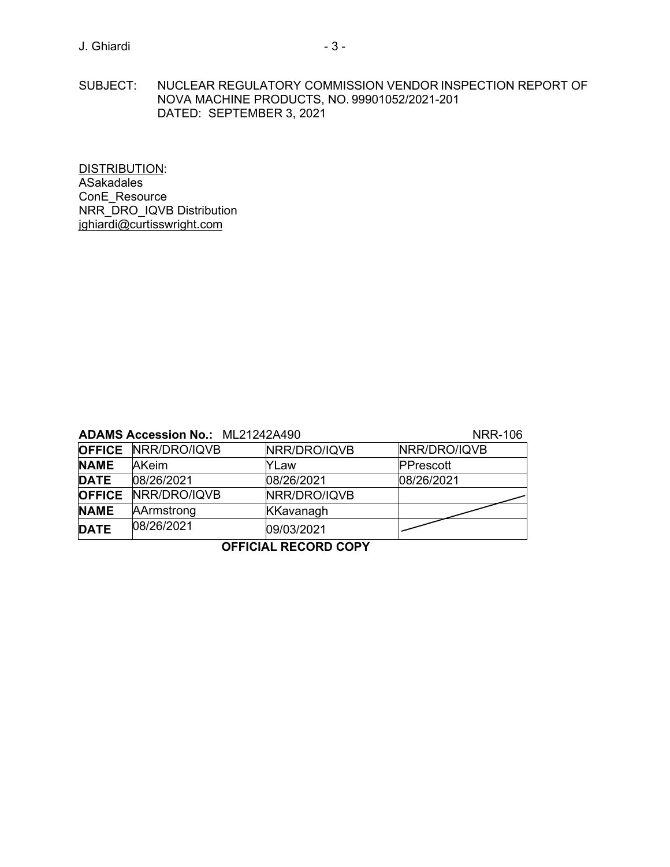SUBJECT: NUCLEAR REGULATORY COMMISSION VENDOR INSPECTION REPORT OF NOVA MACHINE PRODUCTS, NO. 99901052/2021-201 DATED: SEPTEMBER 3, 2021

DISTRIBUTION: ASakadales ConE\_Resource NRR\_DRO\_IQVB Distribution [jghiardi@curtisswright.com](mailto:jghiardi@curtisswright.com)

# **ADAMS Accession No.: 10 21242A490 NRR-106**

|               | ADAMS ACCESSION NO MLZ IZTZATJU | $111117 - 100$   |              |  |  |  |  |  |
|---------------|---------------------------------|------------------|--------------|--|--|--|--|--|
|               | <b>OFFICE NRR/DRO/IQVB</b>      | NRR/DRO/IQVB     | NRR/DRO/IQVB |  |  |  |  |  |
| <b>NAME</b>   | <b>AKeim</b>                    | YLaw             | PPrescott    |  |  |  |  |  |
| <b>DATE</b>   | 08/26/2021                      | 08/26/2021       | 08/26/2021   |  |  |  |  |  |
| <b>OFFICE</b> | NRR/DRO/IQVB                    | NRR/DRO/IQVB     |              |  |  |  |  |  |
| <b>NAME</b>   | AArmstrong                      | <b>KKavanagh</b> |              |  |  |  |  |  |
| <b>DATE</b>   | 08/26/2021                      | 09/03/2021       |              |  |  |  |  |  |
|               |                                 |                  |              |  |  |  |  |  |

### **OFFICIAL RECORD COPY**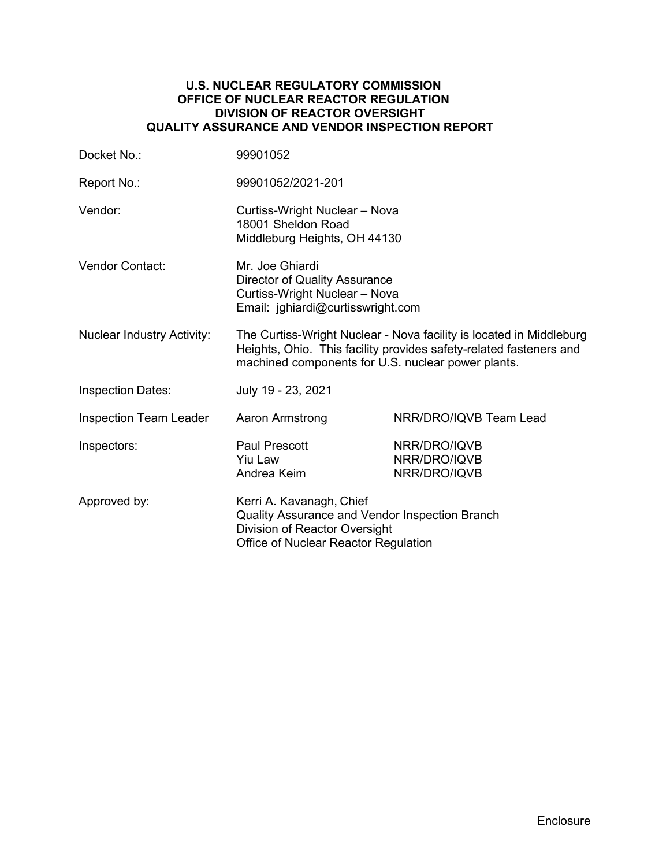#### **U.S. NUCLEAR REGULATORY COMMISSION OFFICE OF NUCLEAR REACTOR REGULATION DIVISION OF REACTOR OVERSIGHT QUALITY ASSURANCE AND VENDOR INSPECTION REPORT**

| Docket No.:                       | 99901052                                                                                                                                                                                        |                                              |  |  |
|-----------------------------------|-------------------------------------------------------------------------------------------------------------------------------------------------------------------------------------------------|----------------------------------------------|--|--|
| Report No.:                       | 99901052/2021-201                                                                                                                                                                               |                                              |  |  |
| Vendor:                           | Curtiss-Wright Nuclear - Nova<br>18001 Sheldon Road<br>Middleburg Heights, OH 44130                                                                                                             |                                              |  |  |
| Vendor Contact:                   | Mr. Joe Ghiardi<br><b>Director of Quality Assurance</b><br>Curtiss-Wright Nuclear - Nova<br>Email: jghiardi@curtisswright.com                                                                   |                                              |  |  |
| <b>Nuclear Industry Activity:</b> | The Curtiss-Wright Nuclear - Nova facility is located in Middleburg<br>Heights, Ohio. This facility provides safety-related fasteners and<br>machined components for U.S. nuclear power plants. |                                              |  |  |
| <b>Inspection Dates:</b>          | July 19 - 23, 2021                                                                                                                                                                              |                                              |  |  |
| <b>Inspection Team Leader</b>     | Aaron Armstrong                                                                                                                                                                                 | NRR/DRO/IQVB Team Lead                       |  |  |
| Inspectors:                       | <b>Paul Prescott</b><br>Yiu Law<br>Andrea Keim                                                                                                                                                  | NRR/DRO/IQVB<br>NRR/DRO/IQVB<br>NRR/DRO/IQVB |  |  |
| Approved by:                      | Kerri A. Kavanagh, Chief<br>Quality Assurance and Vendor Inspection Branch<br>Division of Reactor Oversight<br>Office of Nuclear Reactor Regulation                                             |                                              |  |  |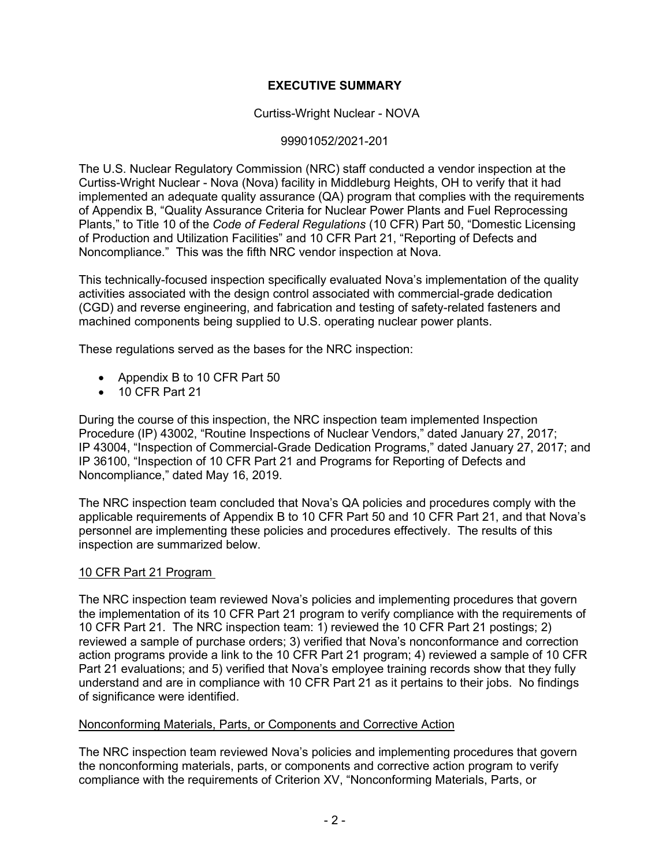# **EXECUTIVE SUMMARY**

### Curtiss-Wright Nuclear - NOVA

#### 99901052/2021-201

The U.S. Nuclear Regulatory Commission (NRC) staff conducted a vendor inspection at the Curtiss-Wright Nuclear - Nova (Nova) facility in Middleburg Heights, OH to verify that it had implemented an adequate quality assurance (QA) program that complies with the requirements of Appendix B, "Quality Assurance Criteria for Nuclear Power Plants and Fuel Reprocessing Plants," to Title 10 of the *Code of Federal Regulations* (10 CFR) Part 50, "Domestic Licensing of Production and Utilization Facilities" and 10 CFR Part 21, "Reporting of Defects and Noncompliance." This was the fifth NRC vendor inspection at Nova.

This technically-focused inspection specifically evaluated Nova's implementation of the quality activities associated with the design control associated with commercial-grade dedication (CGD) and reverse engineering, and fabrication and testing of safety-related fasteners and machined components being supplied to U.S. operating nuclear power plants.

These regulations served as the bases for the NRC inspection:

- Appendix B to 10 CFR Part 50
- 10 CFR Part 21

During the course of this inspection, the NRC inspection team implemented Inspection Procedure (IP) 43002, "Routine Inspections of Nuclear Vendors," dated January 27, 2017; IP 43004, "Inspection of Commercial-Grade Dedication Programs," dated January 27, 2017; and IP 36100, "Inspection of 10 CFR Part 21 and Programs for Reporting of Defects and Noncompliance," dated May 16, 2019.

The NRC inspection team concluded that Nova's QA policies and procedures comply with the applicable requirements of Appendix B to 10 CFR Part 50 and 10 CFR Part 21, and that Nova's personnel are implementing these policies and procedures effectively. The results of this inspection are summarized below.

#### 10 CFR Part 21 Program

The NRC inspection team reviewed Nova's policies and implementing procedures that govern the implementation of its 10 CFR Part 21 program to verify compliance with the requirements of 10 CFR Part 21. The NRC inspection team: 1) reviewed the 10 CFR Part 21 postings; 2) reviewed a sample of purchase orders; 3) verified that Nova's nonconformance and correction action programs provide a link to the 10 CFR Part 21 program; 4) reviewed a sample of 10 CFR Part 21 evaluations; and 5) verified that Nova's employee training records show that they fully understand and are in compliance with 10 CFR Part 21 as it pertains to their jobs. No findings of significance were identified.

#### Nonconforming Materials, Parts, or Components and Corrective Action

The NRC inspection team reviewed Nova's policies and implementing procedures that govern the nonconforming materials, parts, or components and corrective action program to verify compliance with the requirements of Criterion XV, "Nonconforming Materials, Parts, or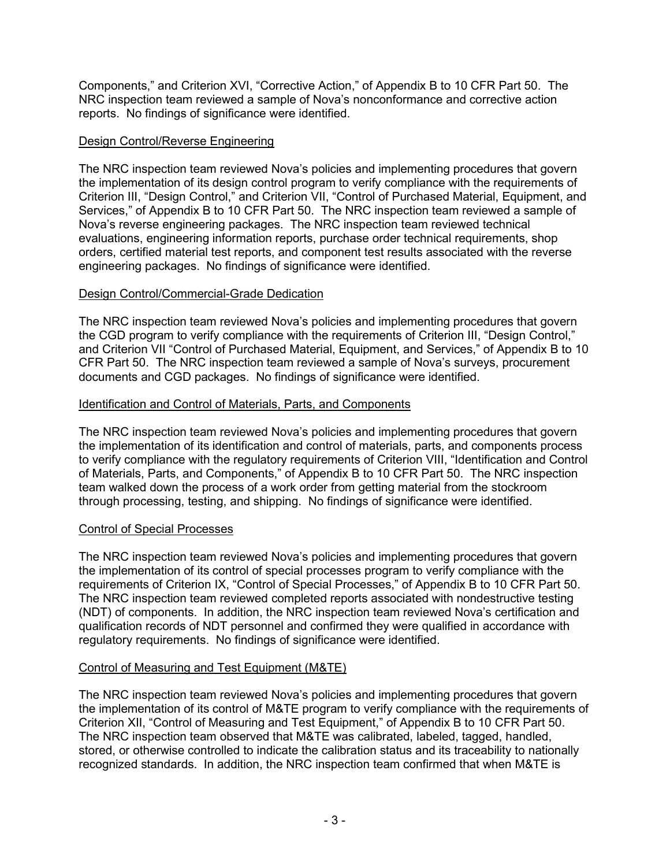Components," and Criterion XVI, "Corrective Action," of Appendix B to 10 CFR Part 50. The NRC inspection team reviewed a sample of Nova's nonconformance and corrective action reports. No findings of significance were identified.

# Design Control/Reverse Engineering

The NRC inspection team reviewed Nova's policies and implementing procedures that govern the implementation of its design control program to verify compliance with the requirements of Criterion III, "Design Control," and Criterion VII, "Control of Purchased Material, Equipment, and Services," of Appendix B to 10 CFR Part 50. The NRC inspection team reviewed a sample of Nova's reverse engineering packages. The NRC inspection team reviewed technical evaluations, engineering information reports, purchase order technical requirements, shop orders, certified material test reports, and component test results associated with the reverse engineering packages. No findings of significance were identified.

# Design Control/Commercial-Grade Dedication

The NRC inspection team reviewed Nova's policies and implementing procedures that govern the CGD program to verify compliance with the requirements of Criterion III, "Design Control," and Criterion VII "Control of Purchased Material, Equipment, and Services," of Appendix B to 10 CFR Part 50. The NRC inspection team reviewed a sample of Nova's surveys, procurement documents and CGD packages. No findings of significance were identified.

# Identification and Control of Materials, Parts, and Components

The NRC inspection team reviewed Nova's policies and implementing procedures that govern the implementation of its identification and control of materials, parts, and components process to verify compliance with the regulatory requirements of Criterion VIII, "Identification and Control of Materials, Parts, and Components," of Appendix B to 10 CFR Part 50. The NRC inspection team walked down the process of a work order from getting material from the stockroom through processing, testing, and shipping. No findings of significance were identified.

# Control of Special Processes

The NRC inspection team reviewed Nova's policies and implementing procedures that govern the implementation of its control of special processes program to verify compliance with the requirements of Criterion IX, "Control of Special Processes," of Appendix B to 10 CFR Part 50. The NRC inspection team reviewed completed reports associated with nondestructive testing (NDT) of components. In addition, the NRC inspection team reviewed Nova's certification and qualification records of NDT personnel and confirmed they were qualified in accordance with regulatory requirements. No findings of significance were identified.

# Control of Measuring and Test Equipment (M&TE)

The NRC inspection team reviewed Nova's policies and implementing procedures that govern the implementation of its control of M&TE program to verify compliance with the requirements of Criterion XII, "Control of Measuring and Test Equipment," of Appendix B to 10 CFR Part 50. The NRC inspection team observed that M&TE was calibrated, labeled, tagged, handled, stored, or otherwise controlled to indicate the calibration status and its traceability to nationally recognized standards. In addition, the NRC inspection team confirmed that when M&TE is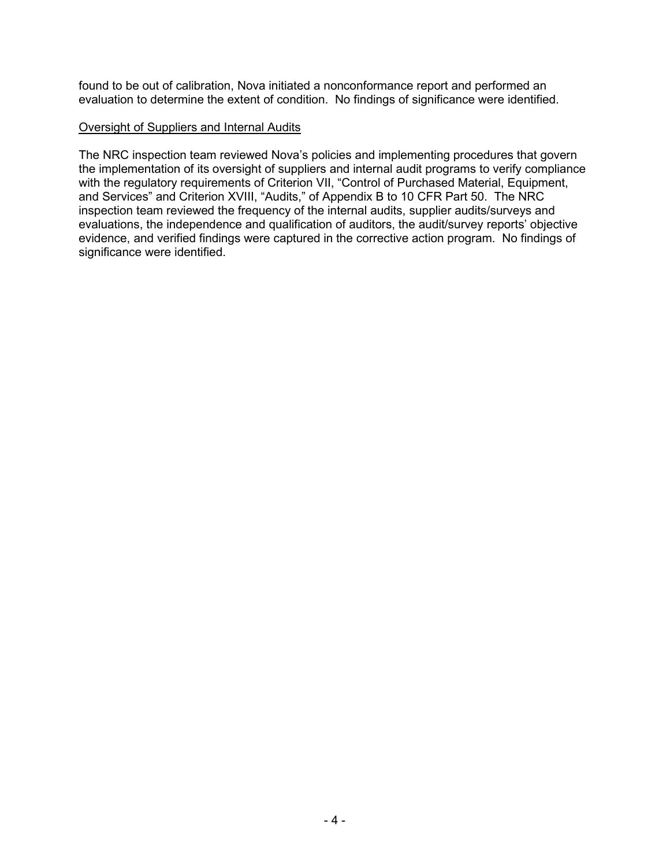found to be out of calibration, Nova initiated a nonconformance report and performed an evaluation to determine the extent of condition. No findings of significance were identified.

#### Oversight of Suppliers and Internal Audits

The NRC inspection team reviewed Nova's policies and implementing procedures that govern the implementation of its oversight of suppliers and internal audit programs to verify compliance with the regulatory requirements of Criterion VII, "Control of Purchased Material, Equipment, and Services" and Criterion XVIII, "Audits," of Appendix B to 10 CFR Part 50. The NRC inspection team reviewed the frequency of the internal audits, supplier audits/surveys and evaluations, the independence and qualification of auditors, the audit/survey reports' objective evidence, and verified findings were captured in the corrective action program. No findings of significance were identified.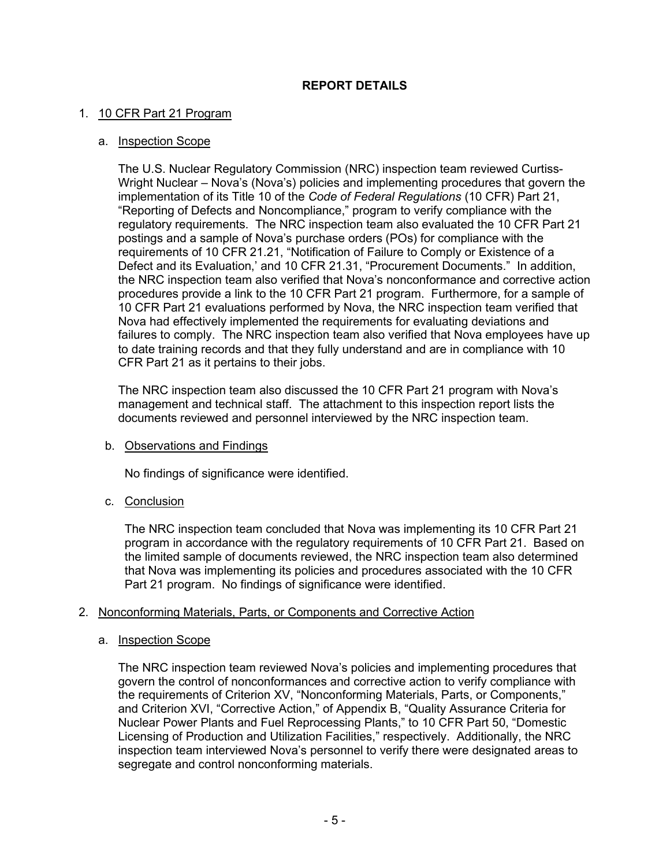# **REPORT DETAILS**

#### 1. 10 CFR Part 21 Program

#### a. Inspection Scope

The U.S. Nuclear Regulatory Commission (NRC) inspection team reviewed Curtiss-Wright Nuclear – Nova's (Nova's) policies and implementing procedures that govern the implementation of its Title 10 of the *Code of Federal Regulations* (10 CFR) Part 21, "Reporting of Defects and Noncompliance," program to verify compliance with the regulatory requirements. The NRC inspection team also evaluated the 10 CFR Part 21 postings and a sample of Nova's purchase orders (POs) for compliance with the requirements of 10 CFR 21.21, "Notification of Failure to Comply or Existence of a Defect and its Evaluation,' and 10 CFR 21.31, "Procurement Documents." In addition, the NRC inspection team also verified that Nova's nonconformance and corrective action procedures provide a link to the 10 CFR Part 21 program. Furthermore, for a sample of 10 CFR Part 21 evaluations performed by Nova, the NRC inspection team verified that Nova had effectively implemented the requirements for evaluating deviations and failures to comply. The NRC inspection team also verified that Nova employees have up to date training records and that they fully understand and are in compliance with 10 CFR Part 21 as it pertains to their jobs.

The NRC inspection team also discussed the 10 CFR Part 21 program with Nova's management and technical staff. The attachment to this inspection report lists the documents reviewed and personnel interviewed by the NRC inspection team.

#### b. Observations and Findings

No findings of significance were identified.

c. Conclusion

The NRC inspection team concluded that Nova was implementing its 10 CFR Part 21 program in accordance with the regulatory requirements of 10 CFR Part 21. Based on the limited sample of documents reviewed, the NRC inspection team also determined that Nova was implementing its policies and procedures associated with the 10 CFR Part 21 program. No findings of significance were identified.

### 2. Nonconforming Materials, Parts, or Components and Corrective Action

#### a. Inspection Scope

The NRC inspection team reviewed Nova's policies and implementing procedures that govern the control of nonconformances and corrective action to verify compliance with the requirements of Criterion XV, "Nonconforming Materials, Parts, or Components," and Criterion XVI, "Corrective Action," of Appendix B, "Quality Assurance Criteria for Nuclear Power Plants and Fuel Reprocessing Plants," to 10 CFR Part 50, "Domestic Licensing of Production and Utilization Facilities," respectively. Additionally, the NRC inspection team interviewed Nova's personnel to verify there were designated areas to segregate and control nonconforming materials.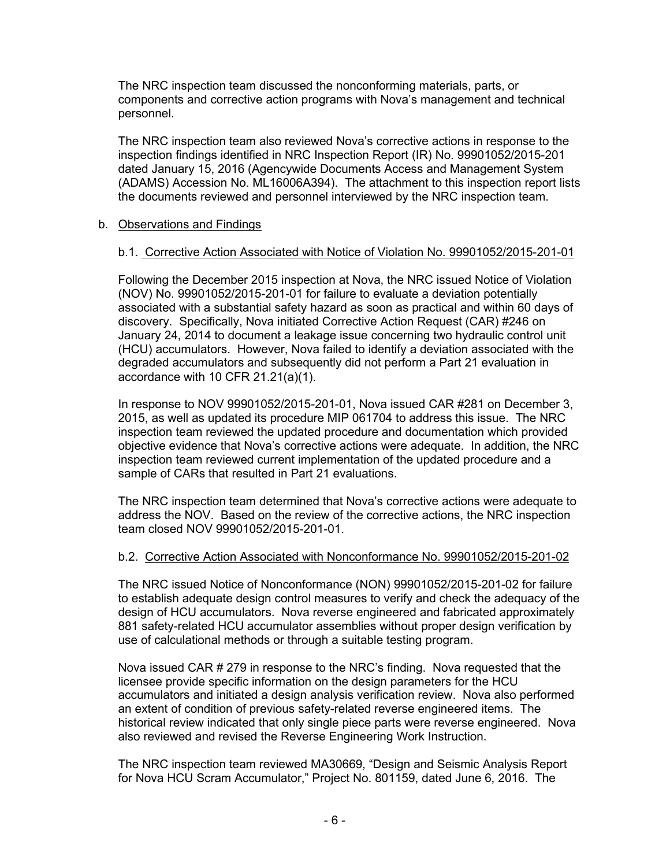The NRC inspection team discussed the nonconforming materials, parts, or components and corrective action programs with Nova's management and technical personnel.

The NRC inspection team also reviewed Nova's corrective actions in response to the inspection findings identified in NRC Inspection Report (IR) No. 99901052/2015-201 dated January 15, 2016 (Agencywide Documents Access and Management System (ADAMS) Accession No. ML16006A394). The attachment to this inspection report lists the documents reviewed and personnel interviewed by the NRC inspection team.

### b. Observations and Findings

#### b.1. Corrective Action Associated with Notice of Violation No. 99901052/2015-201-01

Following the December 2015 inspection at Nova, the NRC issued Notice of Violation (NOV) No. 99901052/2015-201-01 for failure to evaluate a deviation potentially associated with a substantial safety hazard as soon as practical and within 60 days of discovery. Specifically, Nova initiated Corrective Action Request (CAR) #246 on January 24, 2014 to document a leakage issue concerning two hydraulic control unit (HCU) accumulators. However, Nova failed to identify a deviation associated with the degraded accumulators and subsequently did not perform a Part 21 evaluation in accordance with 10 CFR 21.21(a)(1).

In response to NOV 99901052/2015-201-01, Nova issued CAR #281 on December 3, 2015, as well as updated its procedure MIP 061704 to address this issue. The NRC inspection team reviewed the updated procedure and documentation which provided objective evidence that Nova's corrective actions were adequate. In addition, the NRC inspection team reviewed current implementation of the updated procedure and a sample of CARs that resulted in Part 21 evaluations.

The NRC inspection team determined that Nova's corrective actions were adequate to address the NOV. Based on the review of the corrective actions, the NRC inspection team closed NOV 99901052/2015-201-01.

#### b.2. Corrective Action Associated with Nonconformance No. 99901052/2015-201-02

The NRC issued Notice of Nonconformance (NON) 99901052/2015-201-02 for failure to establish adequate design control measures to verify and check the adequacy of the design of HCU accumulators. Nova reverse engineered and fabricated approximately 881 safety-related HCU accumulator assemblies without proper design verification by use of calculational methods or through a suitable testing program.

Nova issued CAR # 279 in response to the NRC's finding. Nova requested that the licensee provide specific information on the design parameters for the HCU accumulators and initiated a design analysis verification review. Nova also performed an extent of condition of previous safety-related reverse engineered items. The historical review indicated that only single piece parts were reverse engineered. Nova also reviewed and revised the Reverse Engineering Work Instruction.

The NRC inspection team reviewed MA30669, "Design and Seismic Analysis Report for Nova HCU Scram Accumulator," Project No. 801159, dated June 6, 2016. The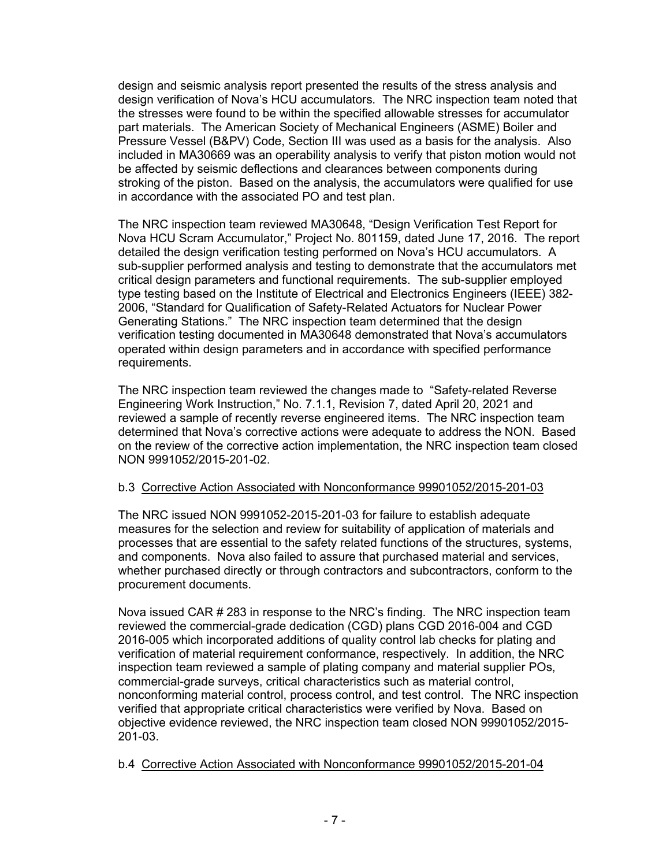design and seismic analysis report presented the results of the stress analysis and design verification of Nova's HCU accumulators. The NRC inspection team noted that the stresses were found to be within the specified allowable stresses for accumulator part materials. The American Society of Mechanical Engineers (ASME) Boiler and Pressure Vessel (B&PV) Code, Section III was used as a basis for the analysis. Also included in MA30669 was an operability analysis to verify that piston motion would not be affected by seismic deflections and clearances between components during stroking of the piston. Based on the analysis, the accumulators were qualified for use in accordance with the associated PO and test plan.

The NRC inspection team reviewed MA30648, "Design Verification Test Report for Nova HCU Scram Accumulator," Project No. 801159, dated June 17, 2016. The report detailed the design verification testing performed on Nova's HCU accumulators. A sub-supplier performed analysis and testing to demonstrate that the accumulators met critical design parameters and functional requirements. The sub-supplier employed type testing based on the Institute of Electrical and Electronics Engineers (IEEE) 382- 2006, "Standard for Qualification of Safety-Related Actuators for Nuclear Power Generating Stations." The NRC inspection team determined that the design verification testing documented in MA30648 demonstrated that Nova's accumulators operated within design parameters and in accordance with specified performance requirements.

The NRC inspection team reviewed the changes made to "Safety-related Reverse Engineering Work Instruction," No. 7.1.1, Revision 7, dated April 20, 2021 and reviewed a sample of recently reverse engineered items. The NRC inspection team determined that Nova's corrective actions were adequate to address the NON. Based on the review of the corrective action implementation, the NRC inspection team closed NON 9991052/2015-201-02.

### b.3 Corrective Action Associated with Nonconformance 99901052/2015-201-03

The NRC issued NON 9991052-2015-201-03 for failure to establish adequate measures for the selection and review for suitability of application of materials and processes that are essential to the safety related functions of the structures, systems, and components. Nova also failed to assure that purchased material and services, whether purchased directly or through contractors and subcontractors, conform to the procurement documents.

Nova issued CAR # 283 in response to the NRC's finding. The NRC inspection team reviewed the commercial-grade dedication (CGD) plans CGD 2016-004 and CGD 2016-005 which incorporated additions of quality control lab checks for plating and verification of material requirement conformance, respectively. In addition, the NRC inspection team reviewed a sample of plating company and material supplier POs, commercial-grade surveys, critical characteristics such as material control, nonconforming material control, process control, and test control. The NRC inspection verified that appropriate critical characteristics were verified by Nova. Based on objective evidence reviewed, the NRC inspection team closed NON 99901052/2015- 201-03.

#### b.4 Corrective Action Associated with Nonconformance 99901052/2015-201-04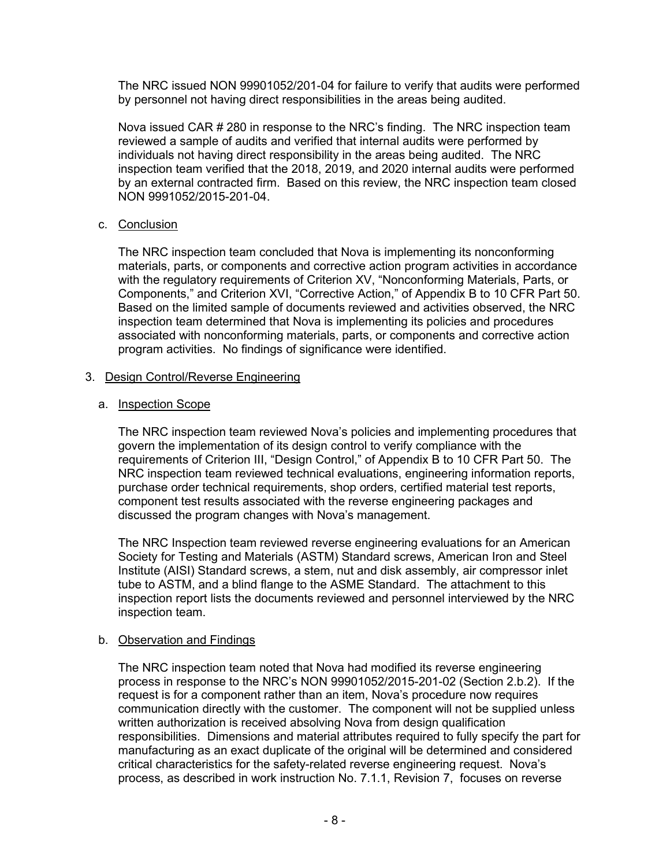The NRC issued NON 99901052/201-04 for failure to verify that audits were performed by personnel not having direct responsibilities in the areas being audited.

Nova issued CAR # 280 in response to the NRC's finding. The NRC inspection team reviewed a sample of audits and verified that internal audits were performed by individuals not having direct responsibility in the areas being audited. The NRC inspection team verified that the 2018, 2019, and 2020 internal audits were performed by an external contracted firm. Based on this review, the NRC inspection team closed NON 9991052/2015-201-04.

### c. Conclusion

The NRC inspection team concluded that Nova is implementing its nonconforming materials, parts, or components and corrective action program activities in accordance with the regulatory requirements of Criterion XV, "Nonconforming Materials, Parts, or Components," and Criterion XVI, "Corrective Action," of Appendix B to 10 CFR Part 50. Based on the limited sample of documents reviewed and activities observed, the NRC inspection team determined that Nova is implementing its policies and procedures associated with nonconforming materials, parts, or components and corrective action program activities. No findings of significance were identified.

# 3. Design Control/Reverse Engineering

### a. Inspection Scope

The NRC inspection team reviewed Nova's policies and implementing procedures that govern the implementation of its design control to verify compliance with the requirements of Criterion III, "Design Control," of Appendix B to 10 CFR Part 50. The NRC inspection team reviewed technical evaluations, engineering information reports, purchase order technical requirements, shop orders, certified material test reports, component test results associated with the reverse engineering packages and discussed the program changes with Nova's management.

The NRC Inspection team reviewed reverse engineering evaluations for an American Society for Testing and Materials (ASTM) Standard screws, American Iron and Steel Institute (AISI) Standard screws, a stem, nut and disk assembly, air compressor inlet tube to ASTM, and a blind flange to the ASME Standard. The attachment to this inspection report lists the documents reviewed and personnel interviewed by the NRC inspection team.

### b. Observation and Findings

The NRC inspection team noted that Nova had modified its reverse engineering process in response to the NRC's NON 99901052/2015-201-02 (Section 2.b.2). If the request is for a component rather than an item, Nova's procedure now requires communication directly with the customer. The component will not be supplied unless written authorization is received absolving Nova from design qualification responsibilities. Dimensions and material attributes required to fully specify the part for manufacturing as an exact duplicate of the original will be determined and considered critical characteristics for the safety-related reverse engineering request. Nova's process, as described in work instruction No. 7.1.1, Revision 7, focuses on reverse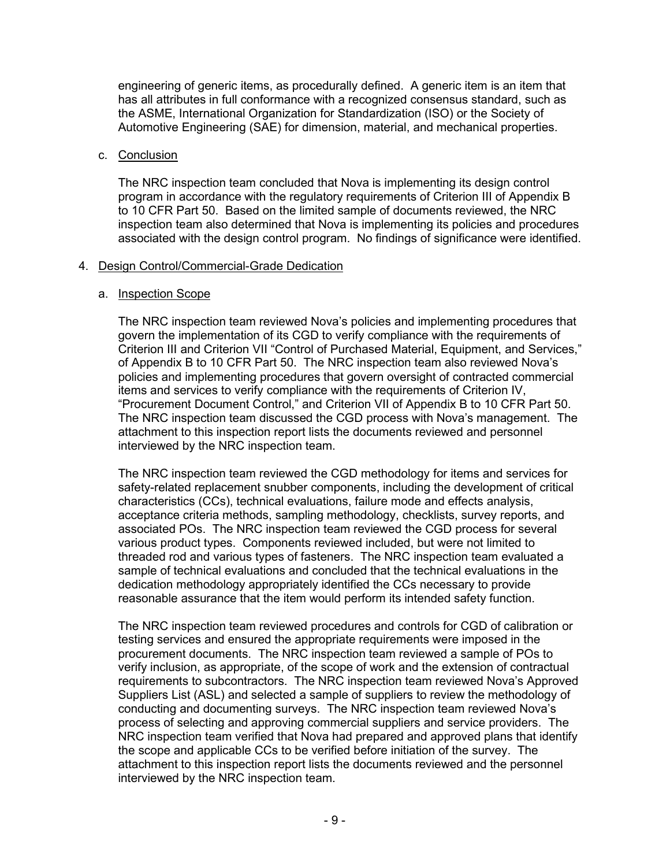engineering of generic items, as procedurally defined. A generic item is an item that has all attributes in full conformance with a recognized consensus standard, such as the ASME, International Organization for Standardization (ISO) or the Society of Automotive Engineering (SAE) for dimension, material, and mechanical properties.

#### c. Conclusion

The NRC inspection team concluded that Nova is implementing its design control program in accordance with the regulatory requirements of Criterion III of Appendix B to 10 CFR Part 50. Based on the limited sample of documents reviewed, the NRC inspection team also determined that Nova is implementing its policies and procedures associated with the design control program. No findings of significance were identified.

#### 4. Design Control/Commercial-Grade Dedication

#### a. Inspection Scope

The NRC inspection team reviewed Nova's policies and implementing procedures that govern the implementation of its CGD to verify compliance with the requirements of Criterion III and Criterion VII "Control of Purchased Material, Equipment, and Services," of Appendix B to 10 CFR Part 50. The NRC inspection team also reviewed Nova's policies and implementing procedures that govern oversight of contracted commercial items and services to verify compliance with the requirements of Criterion IV, "Procurement Document Control," and Criterion VII of Appendix B to 10 CFR Part 50. The NRC inspection team discussed the CGD process with Nova's management. The attachment to this inspection report lists the documents reviewed and personnel interviewed by the NRC inspection team.

The NRC inspection team reviewed the CGD methodology for items and services for safety-related replacement snubber components, including the development of critical characteristics (CCs), technical evaluations, failure mode and effects analysis, acceptance criteria methods, sampling methodology, checklists, survey reports, and associated POs. The NRC inspection team reviewed the CGD process for several various product types. Components reviewed included, but were not limited to threaded rod and various types of fasteners. The NRC inspection team evaluated a sample of technical evaluations and concluded that the technical evaluations in the dedication methodology appropriately identified the CCs necessary to provide reasonable assurance that the item would perform its intended safety function.

The NRC inspection team reviewed procedures and controls for CGD of calibration or testing services and ensured the appropriate requirements were imposed in the procurement documents. The NRC inspection team reviewed a sample of POs to verify inclusion, as appropriate, of the scope of work and the extension of contractual requirements to subcontractors. The NRC inspection team reviewed Nova's Approved Suppliers List (ASL) and selected a sample of suppliers to review the methodology of conducting and documenting surveys. The NRC inspection team reviewed Nova's process of selecting and approving commercial suppliers and service providers. The NRC inspection team verified that Nova had prepared and approved plans that identify the scope and applicable CCs to be verified before initiation of the survey. The attachment to this inspection report lists the documents reviewed and the personnel interviewed by the NRC inspection team.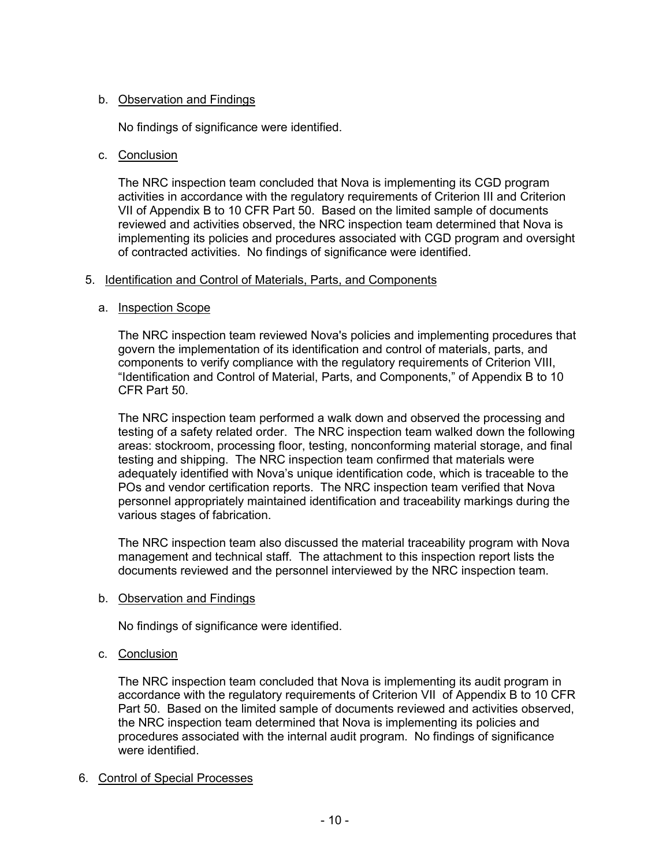# b. Observation and Findings

No findings of significance were identified.

### c. Conclusion

The NRC inspection team concluded that Nova is implementing its CGD program activities in accordance with the regulatory requirements of Criterion III and Criterion VII of Appendix B to 10 CFR Part 50. Based on the limited sample of documents reviewed and activities observed, the NRC inspection team determined that Nova is implementing its policies and procedures associated with CGD program and oversight of contracted activities. No findings of significance were identified.

### 5. Identification and Control of Materials, Parts, and Components

### a. Inspection Scope

The NRC inspection team reviewed Nova's policies and implementing procedures that govern the implementation of its identification and control of materials, parts, and components to verify compliance with the regulatory requirements of Criterion VIII, "Identification and Control of Material, Parts, and Components," of Appendix B to 10 CFR Part 50.

The NRC inspection team performed a walk down and observed the processing and testing of a safety related order. The NRC inspection team walked down the following areas: stockroom, processing floor, testing, nonconforming material storage, and final testing and shipping. The NRC inspection team confirmed that materials were adequately identified with Nova's unique identification code, which is traceable to the POs and vendor certification reports. The NRC inspection team verified that Nova personnel appropriately maintained identification and traceability markings during the various stages of fabrication.

The NRC inspection team also discussed the material traceability program with Nova management and technical staff. The attachment to this inspection report lists the documents reviewed and the personnel interviewed by the NRC inspection team.

### b. Observation and Findings

No findings of significance were identified.

c. Conclusion

The NRC inspection team concluded that Nova is implementing its audit program in accordance with the regulatory requirements of Criterion VII of Appendix B to 10 CFR Part 50. Based on the limited sample of documents reviewed and activities observed, the NRC inspection team determined that Nova is implementing its policies and procedures associated with the internal audit program. No findings of significance were identified.

### 6. Control of Special Processes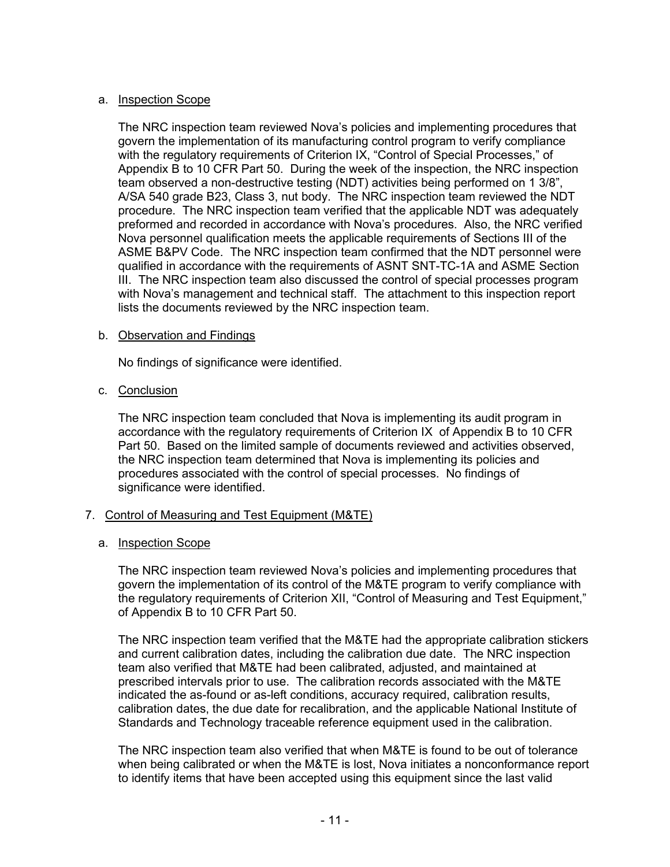#### a. Inspection Scope

The NRC inspection team reviewed Nova's policies and implementing procedures that govern the implementation of its manufacturing control program to verify compliance with the regulatory requirements of Criterion IX, "Control of Special Processes," of Appendix B to 10 CFR Part 50. During the week of the inspection, the NRC inspection team observed a non-destructive testing (NDT) activities being performed on 1 3/8", A/SA 540 grade B23, Class 3, nut body. The NRC inspection team reviewed the NDT procedure. The NRC inspection team verified that the applicable NDT was adequately preformed and recorded in accordance with Nova's procedures. Also, the NRC verified Nova personnel qualification meets the applicable requirements of Sections III of the ASME B&PV Code. The NRC inspection team confirmed that the NDT personnel were qualified in accordance with the requirements of ASNT SNT-TC-1A and ASME Section III. The NRC inspection team also discussed the control of special processes program with Nova's management and technical staff. The attachment to this inspection report lists the documents reviewed by the NRC inspection team.

#### b. Observation and Findings

No findings of significance were identified.

#### c. Conclusion

The NRC inspection team concluded that Nova is implementing its audit program in accordance with the regulatory requirements of Criterion IX of Appendix B to 10 CFR Part 50. Based on the limited sample of documents reviewed and activities observed, the NRC inspection team determined that Nova is implementing its policies and procedures associated with the control of special processes. No findings of significance were identified.

### 7. Control of Measuring and Test Equipment (M&TE)

### a. Inspection Scope

The NRC inspection team reviewed Nova's policies and implementing procedures that govern the implementation of its control of the M&TE program to verify compliance with the regulatory requirements of Criterion XII, "Control of Measuring and Test Equipment," of Appendix B to 10 CFR Part 50.

The NRC inspection team verified that the M&TE had the appropriate calibration stickers and current calibration dates, including the calibration due date. The NRC inspection team also verified that M&TE had been calibrated, adjusted, and maintained at prescribed intervals prior to use. The calibration records associated with the M&TE indicated the as-found or as-left conditions, accuracy required, calibration results, calibration dates, the due date for recalibration, and the applicable National Institute of Standards and Technology traceable reference equipment used in the calibration.

The NRC inspection team also verified that when M&TE is found to be out of tolerance when being calibrated or when the M&TE is lost, Nova initiates a nonconformance report to identify items that have been accepted using this equipment since the last valid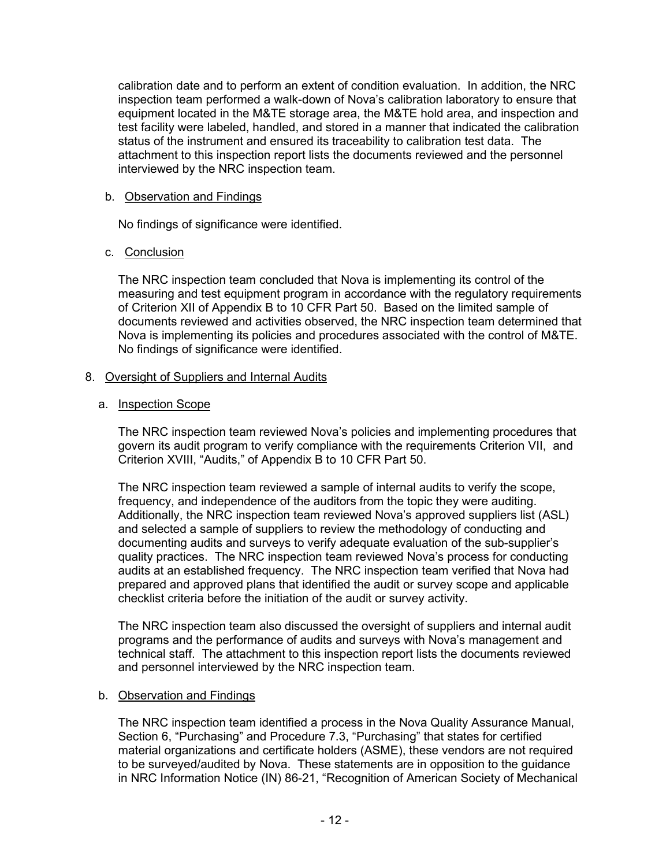calibration date and to perform an extent of condition evaluation. In addition, the NRC inspection team performed a walk-down of Nova's calibration laboratory to ensure that equipment located in the M&TE storage area, the M&TE hold area, and inspection and test facility were labeled, handled, and stored in a manner that indicated the calibration status of the instrument and ensured its traceability to calibration test data. The attachment to this inspection report lists the documents reviewed and the personnel interviewed by the NRC inspection team.

#### b. Observation and Findings

No findings of significance were identified.

### c. Conclusion

The NRC inspection team concluded that Nova is implementing its control of the measuring and test equipment program in accordance with the regulatory requirements of Criterion XII of Appendix B to 10 CFR Part 50. Based on the limited sample of documents reviewed and activities observed, the NRC inspection team determined that Nova is implementing its policies and procedures associated with the control of M&TE. No findings of significance were identified.

# 8. Oversight of Suppliers and Internal Audits

### a. Inspection Scope

The NRC inspection team reviewed Nova's policies and implementing procedures that govern its audit program to verify compliance with the requirements Criterion VII, and Criterion XVIII, "Audits," of Appendix B to 10 CFR Part 50.

The NRC inspection team reviewed a sample of internal audits to verify the scope, frequency, and independence of the auditors from the topic they were auditing. Additionally, the NRC inspection team reviewed Nova's approved suppliers list (ASL) and selected a sample of suppliers to review the methodology of conducting and documenting audits and surveys to verify adequate evaluation of the sub-supplier's quality practices. The NRC inspection team reviewed Nova's process for conducting audits at an established frequency. The NRC inspection team verified that Nova had prepared and approved plans that identified the audit or survey scope and applicable checklist criteria before the initiation of the audit or survey activity.

The NRC inspection team also discussed the oversight of suppliers and internal audit programs and the performance of audits and surveys with Nova's management and technical staff. The attachment to this inspection report lists the documents reviewed and personnel interviewed by the NRC inspection team.

### b. Observation and Findings

The NRC inspection team identified a process in the Nova Quality Assurance Manual, Section 6, "Purchasing" and Procedure 7.3, "Purchasing" that states for certified material organizations and certificate holders (ASME), these vendors are not required to be surveyed/audited by Nova. These statements are in opposition to the guidance in NRC Information Notice (IN) 86-21, "Recognition of American Society of Mechanical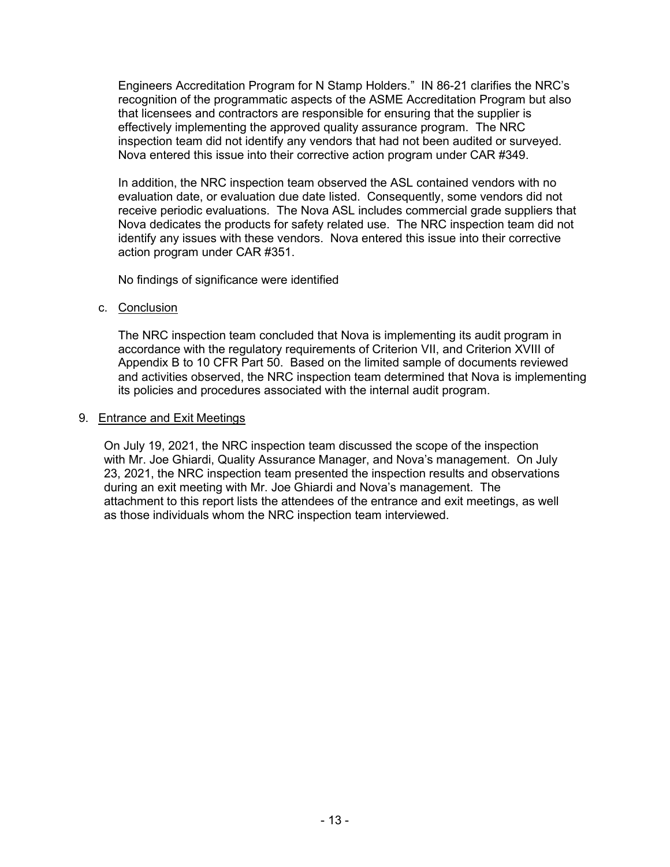Engineers Accreditation Program for N Stamp Holders." IN 86-21 clarifies the NRC's recognition of the programmatic aspects of the ASME Accreditation Program but also that licensees and contractors are responsible for ensuring that the supplier is effectively implementing the approved quality assurance program. The NRC inspection team did not identify any vendors that had not been audited or surveyed. Nova entered this issue into their corrective action program under CAR #349.

In addition, the NRC inspection team observed the ASL contained vendors with no evaluation date, or evaluation due date listed. Consequently, some vendors did not receive periodic evaluations. The Nova ASL includes commercial grade suppliers that Nova dedicates the products for safety related use. The NRC inspection team did not identify any issues with these vendors. Nova entered this issue into their corrective action program under CAR #351.

No findings of significance were identified

c. Conclusion

The NRC inspection team concluded that Nova is implementing its audit program in accordance with the regulatory requirements of Criterion VII, and Criterion XVIII of Appendix B to 10 CFR Part 50. Based on the limited sample of documents reviewed and activities observed, the NRC inspection team determined that Nova is implementing its policies and procedures associated with the internal audit program.

### 9. Entrance and Exit Meetings

On July 19, 2021, the NRC inspection team discussed the scope of the inspection with Mr. Joe Ghiardi, Quality Assurance Manager, and Nova's management. On July 23, 2021, the NRC inspection team presented the inspection results and observations during an exit meeting with Mr. Joe Ghiardi and Nova's management. The attachment to this report lists the attendees of the entrance and exit meetings, as well as those individuals whom the NRC inspection team interviewed.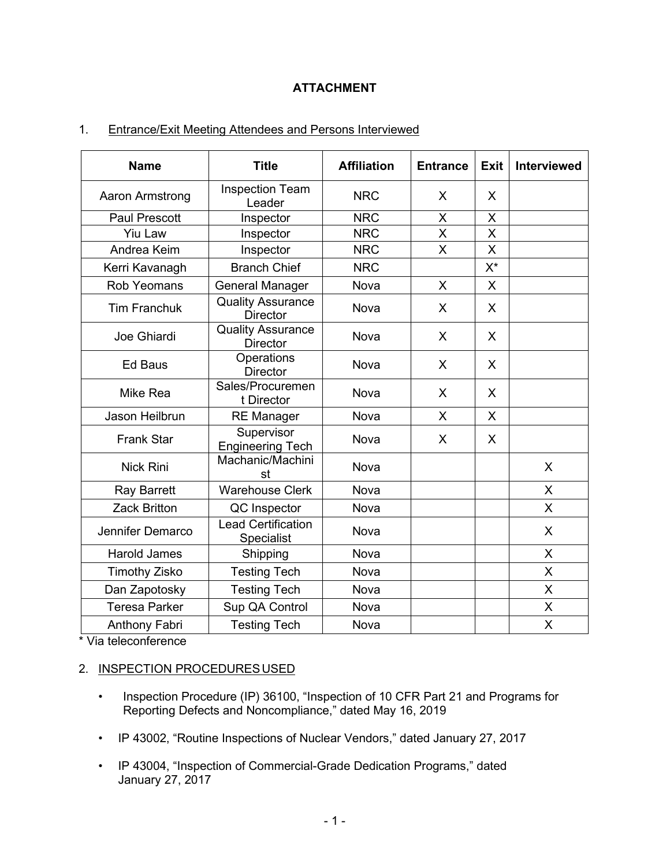# **ATTACHMENT**

# 1. Entrance/Exit Meeting Attendees and Persons Interviewed

| <b>Name</b>          | <b>Title</b>                                | <b>Affiliation</b> | <b>Entrance</b> | <b>Exit</b> | <b>Interviewed</b> |
|----------------------|---------------------------------------------|--------------------|-----------------|-------------|--------------------|
| Aaron Armstrong      | <b>Inspection Team</b><br>Leader            | <b>NRC</b>         | X.              | X           |                    |
| <b>Paul Prescott</b> | Inspector                                   | <b>NRC</b>         | X               | X           |                    |
| <b>Yiu Law</b>       | Inspector                                   | <b>NRC</b>         | $\overline{X}$  | X           |                    |
| Andrea Keim          | Inspector                                   | <b>NRC</b>         | X               | X           |                    |
| Kerri Kavanagh       | <b>Branch Chief</b>                         | <b>NRC</b>         |                 | X*          |                    |
| <b>Rob Yeomans</b>   | <b>General Manager</b>                      | <b>Nova</b>        | $\mathsf{X}$    | X           |                    |
| <b>Tim Franchuk</b>  | <b>Quality Assurance</b><br><b>Director</b> | <b>Nova</b>        | X               | X           |                    |
| Joe Ghiardi          | <b>Quality Assurance</b><br><b>Director</b> | Nova               | X               | X           |                    |
| <b>Ed Baus</b>       | Operations<br><b>Director</b>               | <b>Nova</b>        | $\mathsf{X}$    | X           |                    |
| Mike Rea             | Sales/Procuremen<br>t Director              | <b>Nova</b>        | $\mathsf{X}$    | X           |                    |
| Jason Heilbrun       | <b>RE Manager</b>                           | <b>Nova</b>        | X.              | X           |                    |
| <b>Frank Star</b>    | Supervisor<br><b>Engineering Tech</b>       | <b>Nova</b>        | X               | X           |                    |
| <b>Nick Rini</b>     | Machanic/Machini<br>st                      | Nova               |                 |             | X                  |
| <b>Ray Barrett</b>   | <b>Warehouse Clerk</b>                      | <b>Nova</b>        |                 |             | X                  |
| <b>Zack Britton</b>  | QC Inspector                                | Nova               |                 |             | $\mathsf{X}$       |
| Jennifer Demarco     | <b>Lead Certification</b><br>Specialist     | Nova               |                 |             | X                  |
| <b>Harold James</b>  | Shipping                                    | Nova               |                 |             | X                  |
| <b>Timothy Zisko</b> | <b>Testing Tech</b>                         | <b>Nova</b>        |                 |             | $\mathsf{x}$       |
| Dan Zapotosky        | <b>Testing Tech</b>                         | Nova               |                 |             | X                  |
| <b>Teresa Parker</b> | Sup QA Control                              | Nova               |                 |             | X                  |
| <b>Anthony Fabri</b> | <b>Testing Tech</b>                         | Nova               |                 |             | X                  |

\* Via teleconference

### 2. INSPECTION PROCEDURES USED

- Inspection Procedure (IP) 36100, "Inspection of 10 CFR Part 21 and Programs for Reporting Defects and Noncompliance," dated May 16, 2019
- IP 43002, "Routine Inspections of Nuclear Vendors," dated January 27, 2017
- IP 43004, "Inspection of Commercial-Grade Dedication Programs," dated January 27, 2017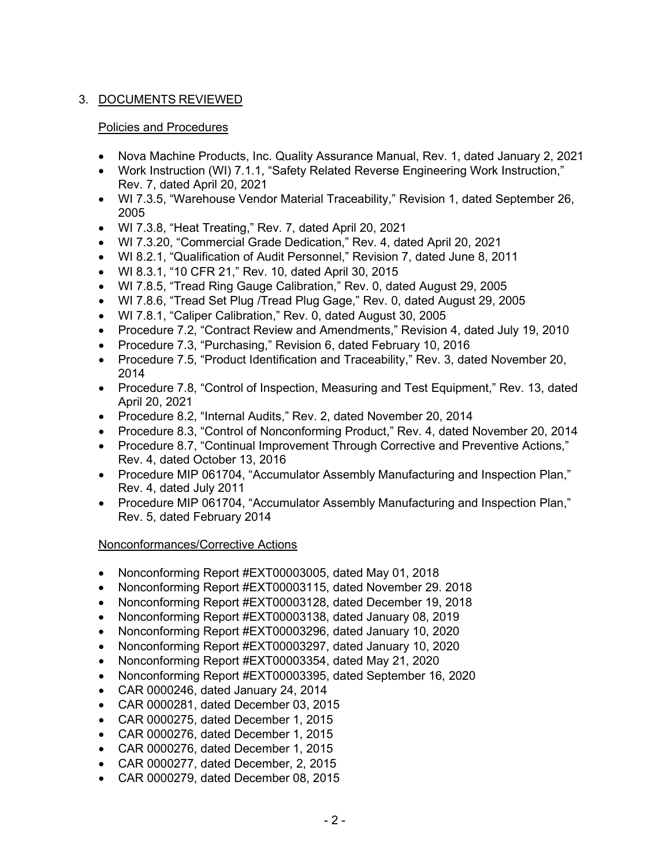# 3. DOCUMENTS REVIEWED

### Policies and Procedures

- Nova Machine Products, Inc. Quality Assurance Manual, Rev. 1, dated January 2, 2021
- Work Instruction (WI) 7.1.1, "Safety Related Reverse Engineering Work Instruction," Rev. 7, dated April 20, 2021
- WI 7.3.5, "Warehouse Vendor Material Traceability," Revision 1, dated September 26, 2005
- WI 7.3.8, "Heat Treating," Rev. 7, dated April 20, 2021
- WI 7.3.20, "Commercial Grade Dedication," Rev. 4, dated April 20, 2021
- WI 8.2.1, "Qualification of Audit Personnel," Revision 7, dated June 8, 2011
- WI 8.3.1, "10 CFR 21," Rev. 10, dated April 30, 2015
- WI 7.8.5, "Tread Ring Gauge Calibration," Rev. 0, dated August 29, 2005
- WI 7.8.6, "Tread Set Plug /Tread Plug Gage," Rev. 0, dated August 29, 2005
- WI 7.8.1, "Caliper Calibration," Rev. 0, dated August 30, 2005
- Procedure 7.2, "Contract Review and Amendments," Revision 4, dated July 19, 2010
- Procedure 7.3, "Purchasing," Revision 6, dated February 10, 2016
- Procedure 7.5, "Product Identification and Traceability," Rev. 3, dated November 20, 2014
- Procedure 7.8, "Control of Inspection, Measuring and Test Equipment," Rev. 13, dated April 20, 2021
- Procedure 8.2, "Internal Audits," Rev. 2, dated November 20, 2014
- Procedure 8.3, "Control of Nonconforming Product," Rev. 4, dated November 20, 2014
- Procedure 8.7, "Continual Improvement Through Corrective and Preventive Actions," Rev. 4, dated October 13, 2016
- Procedure MIP 061704, "Accumulator Assembly Manufacturing and Inspection Plan," Rev. 4, dated July 2011
- Procedure MIP 061704, "Accumulator Assembly Manufacturing and Inspection Plan," Rev. 5, dated February 2014

### Nonconformances/Corrective Actions

- Nonconforming Report #EXT00003005, dated May 01, 2018
- Nonconforming Report #EXT00003115, dated November 29. 2018
- Nonconforming Report #EXT00003128, dated December 19, 2018
- Nonconforming Report #EXT00003138, dated January 08, 2019
- Nonconforming Report #EXT00003296, dated January 10, 2020
- Nonconforming Report #EXT00003297, dated January 10, 2020
- Nonconforming Report #EXT00003354, dated May 21, 2020
- Nonconforming Report #EXT00003395, dated September 16, 2020
- CAR 0000246, dated January 24, 2014
- CAR 0000281, dated December 03, 2015
- CAR 0000275, dated December 1, 2015
- CAR 0000276, dated December 1, 2015
- CAR 0000276, dated December 1, 2015
- CAR 0000277, dated December, 2, 2015
- CAR 0000279, dated December 08, 2015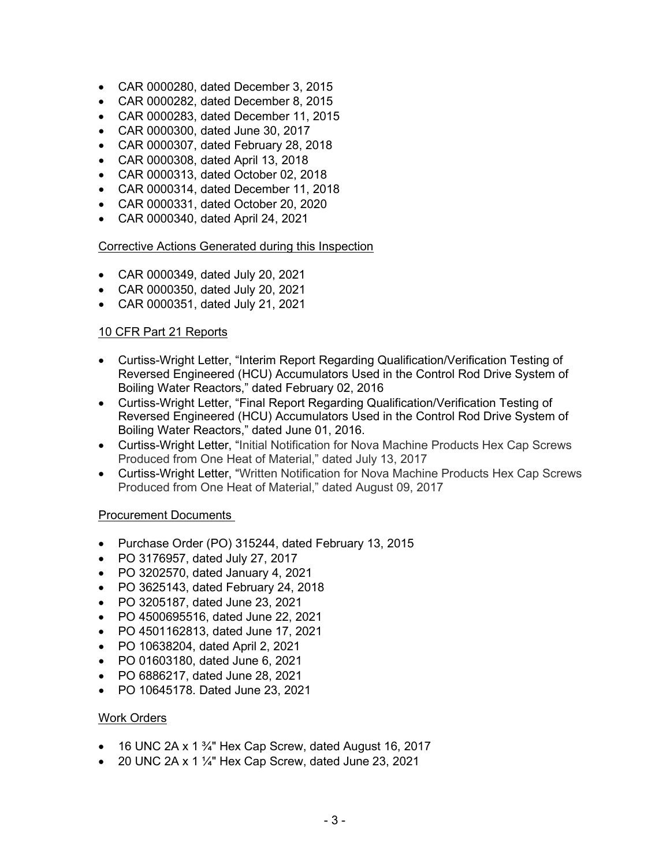- CAR 0000280, dated December 3, 2015
- CAR 0000282, dated December 8, 2015
- CAR 0000283, dated December 11, 2015
- CAR 0000300, dated June 30, 2017
- CAR 0000307, dated February 28, 2018
- CAR 0000308, dated April 13, 2018
- CAR 0000313, dated October 02, 2018
- CAR 0000314, dated December 11, 2018
- CAR 0000331, dated October 20, 2020
- CAR 0000340, dated April 24, 2021

#### Corrective Actions Generated during this Inspection

- CAR 0000349, dated July 20, 2021
- CAR 0000350, dated July 20, 2021
- CAR 0000351, dated July 21, 2021

### 10 CFR Part 21 Reports

- Curtiss-Wright Letter, "Interim Report Regarding Qualification/Verification Testing of Reversed Engineered (HCU) Accumulators Used in the Control Rod Drive System of Boiling Water Reactors," dated February 02, 2016
- Curtiss-Wright Letter, "Final Report Regarding Qualification/Verification Testing of Reversed Engineered (HCU) Accumulators Used in the Control Rod Drive System of Boiling Water Reactors," dated June 01, 2016.
- Curtiss-Wright Letter, "Initial Notification for Nova Machine Products Hex Cap Screws Produced from One Heat of Material," dated July 13, 2017
- Curtiss-Wright Letter, "Written Notification for Nova Machine Products Hex Cap Screws Produced from One Heat of Material," dated August 09, 2017

### Procurement Documents

- Purchase Order (PO) 315244, dated February 13, 2015
- PO 3176957, dated July 27, 2017
- PO 3202570, dated January 4, 2021
- PO 3625143, dated February 24, 2018
- PO 3205187, dated June 23, 2021
- PO 4500695516, dated June 22, 2021
- PO 4501162813, dated June 17, 2021
- PO 10638204, dated April 2, 2021
- PO 01603180, dated June 6, 2021
- PO 6886217, dated June 28, 2021
- PO 10645178. Dated June 23, 2021

### Work Orders

- 16 UNC 2A x 1 $\frac{3}{4}$ " Hex Cap Screw, dated August 16, 2017
- 20 UNC 2A x 1  $\frac{1}{4}$ " Hex Cap Screw, dated June 23, 2021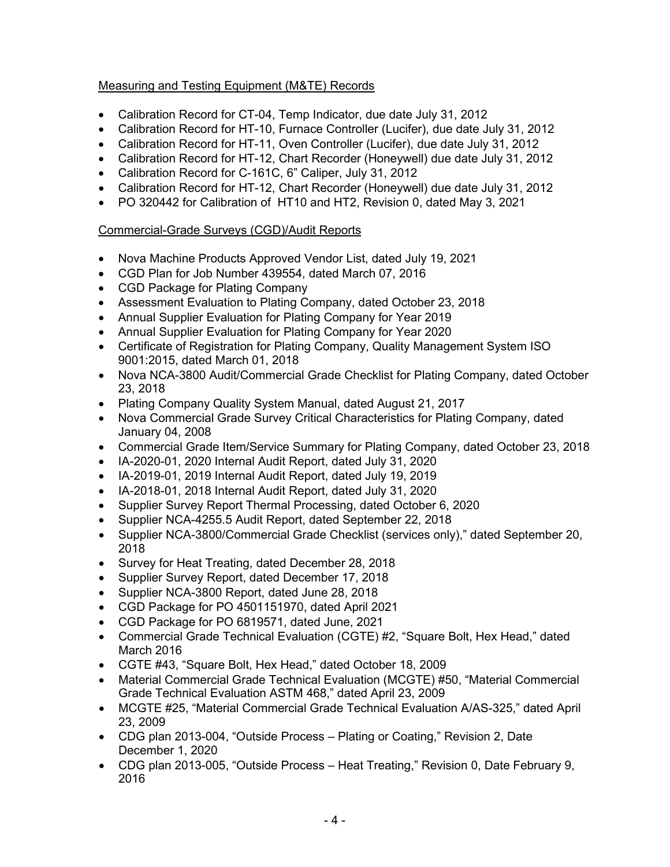# Measuring and Testing Equipment (M&TE) Records

- Calibration Record for CT-04, Temp Indicator, due date July 31, 2012
- Calibration Record for HT-10, Furnace Controller (Lucifer), due date July 31, 2012
- Calibration Record for HT-11, Oven Controller (Lucifer), due date July 31, 2012
- Calibration Record for HT-12, Chart Recorder (Honeywell) due date July 31, 2012
- Calibration Record for C-161C, 6" Caliper, July 31, 2012
- Calibration Record for HT-12, Chart Recorder (Honeywell) due date July 31, 2012
- PO 320442 for Calibration of HT10 and HT2, Revision 0, dated May 3, 2021

# Commercial-Grade Surveys (CGD)/Audit Reports

- Nova Machine Products Approved Vendor List, dated July 19, 2021
- CGD Plan for Job Number 439554, dated March 07, 2016
- CGD Package for Plating Company
- Assessment Evaluation to Plating Company, dated October 23, 2018
- Annual Supplier Evaluation for Plating Company for Year 2019
- Annual Supplier Evaluation for Plating Company for Year 2020
- Certificate of Registration for Plating Company, Quality Management System ISO 9001:2015, dated March 01, 2018
- Nova NCA-3800 Audit/Commercial Grade Checklist for Plating Company, dated October 23, 2018
- Plating Company Quality System Manual, dated August 21, 2017
- Nova Commercial Grade Survey Critical Characteristics for Plating Company, dated January 04, 2008
- Commercial Grade Item/Service Summary for Plating Company, dated October 23, 2018
- IA-2020-01, 2020 Internal Audit Report, dated July 31, 2020
- IA-2019-01, 2019 Internal Audit Report, dated July 19, 2019
- IA-2018-01, 2018 Internal Audit Report, dated July 31, 2020
- Supplier Survey Report Thermal Processing, dated October 6, 2020
- Supplier NCA-4255.5 Audit Report, dated September 22, 2018
- Supplier NCA-3800/Commercial Grade Checklist (services only)," dated September 20, 2018
- Survey for Heat Treating, dated December 28, 2018
- Supplier Survey Report, dated December 17, 2018
- Supplier NCA-3800 Report, dated June 28, 2018
- CGD Package for PO 4501151970, dated April 2021
- CGD Package for PO 6819571, dated June, 2021
- Commercial Grade Technical Evaluation (CGTE) #2, "Square Bolt, Hex Head," dated March 2016
- CGTE #43, "Square Bolt, Hex Head," dated October 18, 2009
- Material Commercial Grade Technical Evaluation (MCGTE) #50, "Material Commercial Grade Technical Evaluation ASTM 468," dated April 23, 2009
- MCGTE #25, "Material Commercial Grade Technical Evaluation A/AS-325," dated April 23, 2009
- CDG plan 2013-004, "Outside Process Plating or Coating," Revision 2, Date December 1, 2020
- CDG plan 2013-005, "Outside Process Heat Treating," Revision 0, Date February 9, 2016